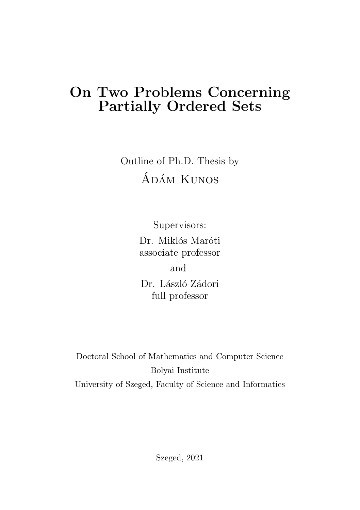## On Two Problems Concerning Partially Ordered Sets

Outline of Ph.D. Thesis by ÁDÁM KUNOS

> Supervisors: Dr. Miklós Maróti associate professor and Dr. László Zádori full professor

Doctoral School of Mathematics and Computer Science Bolyai Institute University of Szeged, Faculty of Science and Informatics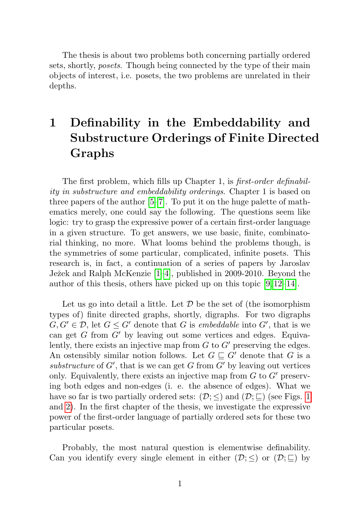The thesis is about two problems both concerning partially ordered sets, shortly, posets. Though being connected by the type of their main objects of interest, i.e. posets, the two problems are unrelated in their depths.

## 1 Definability in the Embeddability and Substructure Orderings of Finite Directed Graphs

The first problem, which fills up Chapter 1, is *first-order definabil*ity in substructure and embeddability orderings. Chapter 1 is based on three papers of the author [\[5–](#page-11-0)[7\]](#page-12-0). To put it on the huge palette of mathematics merely, one could say the following. The questions seem like logic: try to grasp the expressive power of a certain first-order language in a given structure. To get answers, we use basic, finite, combinatorial thinking, no more. What looms behind the problems though, is the symmetries of some particular, complicated, infinite posets. This research is, in fact, a continuation of a series of papers by Jaroslav Ježek and Ralph McKenzie [\[1–](#page-11-1)[4\]](#page-11-2), published in 2009-2010. Beyond the author of this thesis, others have picked up on this topic [\[9,](#page-12-1) [12–](#page-12-2)[14\]](#page-12-3).

Let us go into detail a little. Let  $\mathcal D$  be the set of (the isomorphism types of) finite directed graphs, shortly, digraphs. For two digraphs  $G, G' \in \mathcal{D}$ , let  $G \leq G'$  denote that G is *embeddable* into G', that is we can get G from  $G'$  by leaving out some vertices and edges. Equivalently, there exists an injective map from  $G$  to  $G'$  preserving the edges. An ostensibly similar notion follows. Let  $G \subseteq G'$  denote that G is a substructure of  $G'$ , that is we can get  $G$  from  $G'$  by leaving out vertices only. Equivalently, there exists an injective map from  $G$  to  $G'$  preserving both edges and non-edges (i. e. the absence of edges). What we have so far is two partially ordered sets:  $(\mathcal{D}; <)$  and  $(\mathcal{D}; \subseteq)$  (see Figs. [1](#page-2-0)) and [2\)](#page-3-0). In the first chapter of the thesis, we investigate the expressive power of the first-order language of partially ordered sets for these two particular posets.

Probably, the most natural question is elementwise definability. Can you identify every single element in either  $(\mathcal{D}; \leq)$  or  $(\mathcal{D}; \sqsubseteq)$  by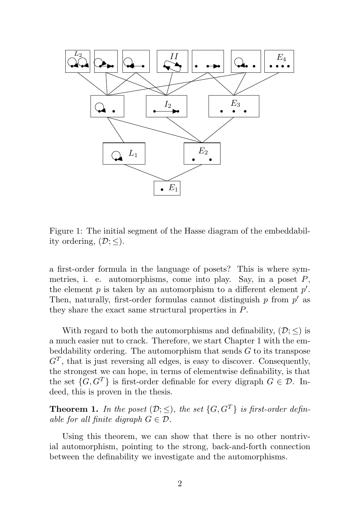

<span id="page-2-0"></span>Figure 1: The initial segment of the Hasse diagram of the embeddabil-<br>its substitute  $(\mathbb{D}, \leq)$ ity ordering,  $(\mathcal{D}; \leq)$ .

a first-order formula in the language of posets? This is where symmetries, i. e. automorphisms, come into play. Say, in a poset  $P$ , the element  $p$  is taken by an automorphism to a different element  $p'$ . Then, naturally, first-order formulas cannot distinguish  $p$  from  $p'$  as they share the exact same structural properties in P.

With regard to both the automorphisms and definability,  $(\mathcal{D}; <)$  is a much easier nut to crack. Therefore, we start Chapter 1 with the embeddability ordering. The automorphism that sends  $G$  to its transpose  $G<sup>T</sup>$ , that is just reversing all edges, is easy to discover. Consequently, the strongest we can hope, in terms of elementwise definability, is that the set  $\{G, G^T\}$  is first-order definable for every digraph  $G \in \mathcal{D}$ . Indeed, this is proven in the thesis.

**Theorem 1.** In the poset  $(\mathcal{D}; \leq)$ , the set  $\{G, G^T\}$  is first-order definable for all finite digraph  $G \in \mathcal{D}$ .

Using this theorem, we can show that there is no other nontrivial automorphism, pointing to the strong, back-and-forth connection between the definability we investigate and the automorphisms.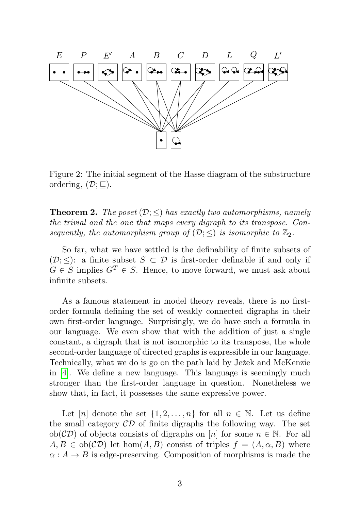

<span id="page-3-0"></span>Figure 2: The initial segment of the Hasse diagram of the substructure ordering,  $(\mathcal{D}; \sqsubseteq)$ .

**Theorem 2.** The poset  $(\mathcal{D}; \leq)$  has exactly two automorphisms, namely the trivial and the one that maps every digraph to its transpose. Consequently, the automorphism group of  $(\mathcal{D};<)$  is isomorphic to  $\mathbb{Z}_2$ .

So far, what we have settled is the definability of finite subsets of  $(\mathcal{D};<)$ : a finite subset  $S\subset\mathcal{D}$  is first-order definable if and only if  $G \in S$  implies  $G^T \in S$ . Hence, to move forward, we must ask about infinite subsets.

As a famous statement in model theory reveals, there is no firstorder formula defining the set of weakly connected digraphs in their own first-order language. Surprisingly, we do have such a formula in our language. We even show that with the addition of just a single constant, a digraph that is not isomorphic to its transpose, the whole second-order language of directed graphs is expressible in our language. Technically, what we do is go on the path laid by Ježek and McKenzie in [\[4\]](#page-11-2). We define a new language. This language is seemingly much stronger than the first-order language in question. Nonetheless we show that, in fact, it possesses the same expressive power.

Let [n] denote the set  $\{1, 2, ..., n\}$  for all  $n \in \mathbb{N}$ . Let us define the small category  $\mathcal{CD}$  of finite digraphs the following way. The set  $ob(\mathcal{CD})$  of objects consists of digraphs on [n] for some  $n \in \mathbb{N}$ . For all  $A, B \in ob(\mathcal{CD})$  let hom $(A, B)$  consist of triples  $f = (A, \alpha, B)$  where  $\alpha: A \to B$  is edge-preserving. Composition of morphisms is made the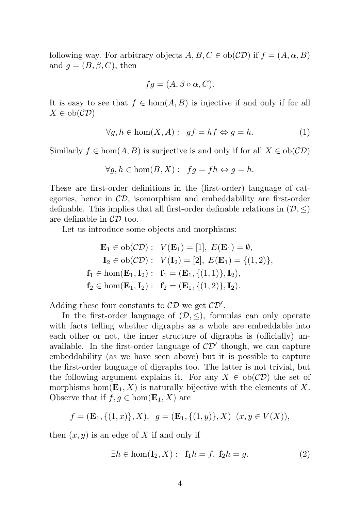following way. For arbitrary objects  $A, B, C \in ob(\mathcal{CD})$  if  $f = (A, \alpha, B)$ and  $q = (B, \beta, C)$ , then

$$
fg = (A, \beta \circ \alpha, C).
$$

It is easy to see that  $f \in \text{hom}(A, B)$  is injective if and only if for all  $X \in ob(\mathcal{CD})$ 

$$
\forall g, h \in \text{hom}(X, A): \ gf = hf \Leftrightarrow g = h. \tag{1}
$$

Similarly  $f \in \text{hom}(A, B)$  is surjective is and only if for all  $X \in \text{ob}(\mathcal{CD})$ 

$$
\forall g, h \in \text{hom}(B, X): \ f g = fh \Leftrightarrow g = h.
$$

These are first-order definitions in the (first-order) language of categories, hence in  $\mathcal{CD}$ , isomorphism and embeddability are first-order definable. This implies that all first-order definable relations in  $(\mathcal{D}, \leq)$ are definable in  $CD$  too.

Let us introduce some objects and morphisms:

$$
\mathbf{E}_1 \in ob(\mathcal{CD}): \quad V(\mathbf{E}_1) = [1], \ E(\mathbf{E}_1) = \emptyset,
$$
\n
$$
\mathbf{I}_2 \in ob(\mathcal{CD}): \quad V(\mathbf{I}_2) = [2], \ E(\mathbf{E}_1) = \{(1,2)\},
$$
\n
$$
\mathbf{f}_1 \in hom(\mathbf{E}_1, \mathbf{I}_2): \ \mathbf{f}_1 = (\mathbf{E}_1, \{(1,1)\}, \mathbf{I}_2),
$$
\n
$$
\mathbf{f}_2 \in hom(\mathbf{E}_1, \mathbf{I}_2): \ \mathbf{f}_2 = (\mathbf{E}_1, \{(1,2)\}, \mathbf{I}_2).
$$

Adding these four constants to  $CD$  we get  $CD'$ .

In the first-order language of  $(\mathcal{D}, \leq)$ , formulas can only operate with facts telling whether digraphs as a whole are embeddable into each other or not, the inner structure of digraphs is (officially) unavailable. In the first-order language of  $CD'$  though, we can capture embeddability (as we have seen above) but it is possible to capture the first-order language of digraphs too. The latter is not trivial, but the following argument explains it. For any  $X \in ob(\mathcal{CD})$  the set of morphisms hom $(E_1, X)$  is naturally bijective with the elements of X. Observe that if  $f, g \in \text{hom}(\mathbf{E}_1, X)$  are

$$
f = (\mathbf{E}_1, \{(1, x)\}, X), \ g = (\mathbf{E}_1, \{(1, y)\}, X) \ (x, y \in V(X)),
$$

then  $(x, y)$  is an edge of X if and only if

$$
\exists h \in \text{hom}(\mathbf{I}_2, X): \mathbf{f}_1 h = f, \mathbf{f}_2 h = g. \tag{2}
$$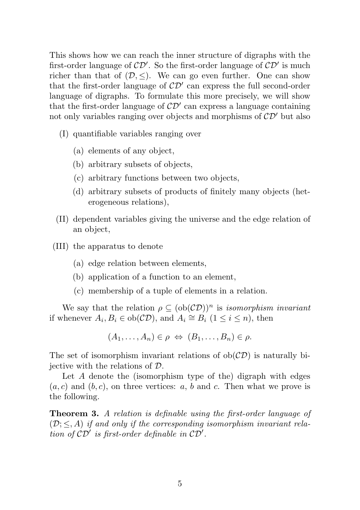This shows how we can reach the inner structure of digraphs with the first-order language of  $\mathcal{CD}'$ . So the first-order language of  $\mathcal{CD}'$  is much richer than that of  $(D, \leq)$ . We can go even further. One can show that the first-order language of  $CD'$  can express the full second-order language of digraphs. To formulate this more precisely, we will show that the first-order language of  $CD'$  can express a language containing not only variables ranging over objects and morphisms of  $\mathcal{CD}'$  but also

- (I) quantifiable variables ranging over
	- (a) elements of any object,
	- (b) arbitrary subsets of objects,
	- (c) arbitrary functions between two objects,
	- (d) arbitrary subsets of products of finitely many objects (heterogeneous relations),
- (II) dependent variables giving the universe and the edge relation of an object,
- (III) the apparatus to denote
	- (a) edge relation between elements,
	- (b) application of a function to an element,
	- (c) membership of a tuple of elements in a relation.

We say that the relation  $\rho \subset (\text{ob}(\mathcal{CD}))^n$  is *isomorphism invariant* if whenever  $A_i, B_i \in ob(\mathcal{CD})$ , and  $A_i \cong B_i \ (1 \leq i \leq n)$ , then

 $(A_1, \ldots, A_n) \in \rho \Leftrightarrow (B_1, \ldots, B_n) \in \rho.$ 

The set of isomorphism invariant relations of  $ob(\mathcal{CD})$  is naturally biiective with the relations of  $\mathcal{D}$ .

Let A denote the (isomorphism type of the) digraph with edges  $(a, c)$  and  $(b, c)$ , on three vertices: a, b and c. Then what we prove is the following.

Theorem 3. A relation is definable using the first-order language of  $(D;< A)$  if and only if the corresponding isomorphism invariant relation of  $\mathcal{CD}'$  is first-order definable in  $\mathcal{CD}'$ .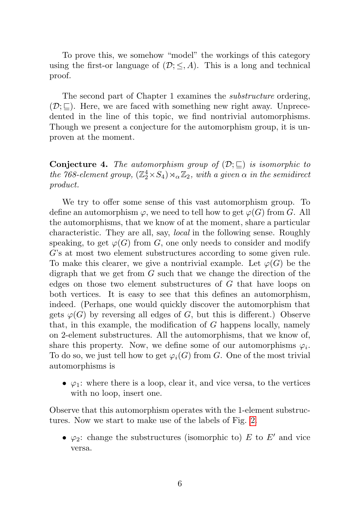To prove this, we somehow "model" the workings of this category using the first-or language of  $(D; \leq, A)$ . This is a long and technical proof.

The second part of Chapter 1 examines the substructure ordering,  $(\mathcal{D}; \square)$ . Here, we are faced with something new right away. Unprecedented in the line of this topic, we find nontrivial automorphisms. Though we present a conjecture for the automorphism group, it is unproven at the moment.

**Conjecture 4.** The automorphism group of  $(\mathcal{D}; \sqsubseteq)$  is isomorphic to the 768-element group,  $(\mathbb{Z}_2^4 \times S_4) \rtimes_{\alpha} \mathbb{Z}_2$ , with a given  $\alpha$  in the semidirect product.

We try to offer some sense of this vast automorphism group. To define an automorphism  $\varphi$ , we need to tell how to get  $\varphi(G)$  from G. All the automorphisms, that we know of at the moment, share a particular characteristic. They are all, say, local in the following sense. Roughly speaking, to get  $\varphi(G)$  from G, one only needs to consider and modify G's at most two element substructures according to some given rule. To make this clearer, we give a nontrivial example. Let  $\varphi(G)$  be the digraph that we get from  $G$  such that we change the direction of the edges on those two element substructures of G that have loops on both vertices. It is easy to see that this defines an automorphism, indeed. (Perhaps, one would quickly discover the automorphism that gets  $\varphi(G)$  by reversing all edges of G, but this is different.) Observe that, in this example, the modification of  $G$  happens locally, namely on 2-element substructures. All the automorphisms, that we know of, share this property. Now, we define some of our automorphisms  $\varphi_i$ . To do so, we just tell how to get  $\varphi_i(G)$  from G. One of the most trivial automorphisms is

•  $\varphi_1$ : where there is a loop, clear it, and vice versa, to the vertices with no loop, insert one.

Observe that this automorphism operates with the 1-element substructures. Now we start to make use of the labels of Fig. [2.](#page-3-0)

•  $\varphi_2$ : change the substructures (isomorphic to) E to E' and vice versa.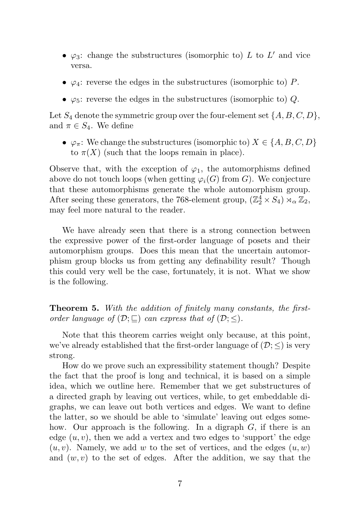- $\varphi_3$ : change the substructures (isomorphic to) L to L' and vice versa.
- $\varphi_4$ : reverse the edges in the substructures (isomorphic to) P.
- $\varphi_5$ : reverse the edges in the substructures (isomorphic to) Q.

Let  $S_4$  denote the symmetric group over the four-element set  $\{A, B, C, D\}$ , and  $\pi \in S_4$ . We define

•  $\varphi_{\pi}$ : We change the substructures (isomorphic to)  $X \in \{A, B, C, D\}$ to  $\pi(X)$  (such that the loops remain in place).

Observe that, with the exception of  $\varphi_1$ , the automorphisms defined above do not touch loops (when getting  $\varphi_i(G)$  from G). We conjecture that these automorphisms generate the whole automorphism group. After seeing these generators, the 768-element group,  $(\mathbb{Z}_2^4 \times S_4) \rtimes_{\alpha} \mathbb{Z}_2$ , may feel more natural to the reader.

We have already seen that there is a strong connection between the expressive power of the first-order language of posets and their automorphism groups. Does this mean that the uncertain automorphism group blocks us from getting any definability result? Though this could very well be the case, fortunately, it is not. What we show is the following.

Theorem 5. With the addition of finitely many constants, the firstorder language of  $(\mathcal{D}; \sqsubseteq)$  can express that of  $(\mathcal{D}; \leq)$ .

Note that this theorem carries weight only because, at this point, we've already established that the first-order language of  $(\mathcal{D}; <)$  is very strong.

How do we prove such an expressibility statement though? Despite the fact that the proof is long and technical, it is based on a simple idea, which we outline here. Remember that we get substructures of a directed graph by leaving out vertices, while, to get embeddable digraphs, we can leave out both vertices and edges. We want to define the latter, so we should be able to 'simulate' leaving out edges somehow. Our approach is the following. In a digraph  $G$ , if there is an edge  $(u, v)$ , then we add a vertex and two edges to 'support' the edge  $(u, v)$ . Namely, we add w to the set of vertices, and the edges  $(u, w)$ and  $(w, v)$  to the set of edges. After the addition, we say that the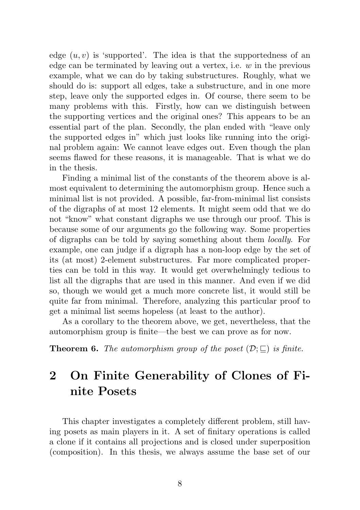edge  $(u, v)$  is 'supported'. The idea is that the supportedness of an edge can be terminated by leaving out a vertex, i.e.  $w$  in the previous example, what we can do by taking substructures. Roughly, what we should do is: support all edges, take a substructure, and in one more step, leave only the supported edges in. Of course, there seem to be many problems with this. Firstly, how can we distinguish between the supporting vertices and the original ones? This appears to be an essential part of the plan. Secondly, the plan ended with "leave only the supported edges in" which just looks like running into the original problem again: We cannot leave edges out. Even though the plan seems flawed for these reasons, it is manageable. That is what we do in the thesis.

Finding a minimal list of the constants of the theorem above is almost equivalent to determining the automorphism group. Hence such a minimal list is not provided. A possible, far-from-minimal list consists of the digraphs of at most 12 elements. It might seem odd that we do not "know" what constant digraphs we use through our proof. This is because some of our arguments go the following way. Some properties of digraphs can be told by saying something about them locally. For example, one can judge if a digraph has a non-loop edge by the set of its (at most) 2-element substructures. Far more complicated properties can be told in this way. It would get overwhelmingly tedious to list all the digraphs that are used in this manner. And even if we did so, though we would get a much more concrete list, it would still be quite far from minimal. Therefore, analyzing this particular proof to get a minimal list seems hopeless (at least to the author).

As a corollary to the theorem above, we get, nevertheless, that the automorphism group is finite—the best we can prove as for now.

**Theorem 6.** The automorphism group of the poset  $(\mathcal{D}; \sqsubset)$  is finite.

## 2 On Finite Generability of Clones of Finite Posets

This chapter investigates a completely different problem, still having posets as main players in it. A set of finitary operations is called a clone if it contains all projections and is closed under superposition (composition). In this thesis, we always assume the base set of our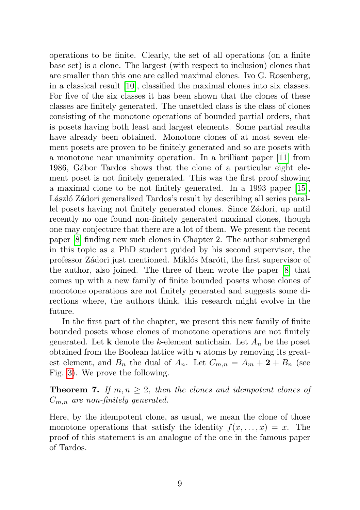operations to be finite. Clearly, the set of all operations (on a finite base set) is a clone. The largest (with respect to inclusion) clones that are smaller than this one are called maximal clones. Ivo G. Rosenberg, in a classical result [\[10\]](#page-12-4), classified the maximal clones into six classes. For five of the six classes it has been shown that the clones of these classes are finitely generated. The unsettled class is the class of clones consisting of the monotone operations of bounded partial orders, that is posets having both least and largest elements. Some partial results have already been obtained. Monotone clones of at most seven element posets are proven to be finitely generated and so are posets with a monotone near unanimity operation. In a brilliant paper [\[11\]](#page-12-5) from 1986, Gábor Tardos shows that the clone of a particular eight element poset is not finitely generated. This was the first proof showing a maximal clone to be not finitely generated. In a 1993 paper [\[15\]](#page-12-6), László Zádori generalized Tardos's result by describing all series parallel posets having not finitely generated clones. Since Zádori, up until recently no one found non-finitely generated maximal clones, though one may conjecture that there are a lot of them. We present the recent paper [\[8\]](#page-12-7) finding new such clones in Chapter 2. The author submerged in this topic as a PhD student guided by his second supervisor, the professor Zádori just mentioned. Miklós Maróti, the first supervisor of the author, also joined. The three of them wrote the paper [\[8\]](#page-12-7) that comes up with a new family of finite bounded posets whose clones of monotone operations are not finitely generated and suggests some directions where, the authors think, this research might evolve in the future.

In the first part of the chapter, we present this new family of finite bounded posets whose clones of monotone operations are not finitely generated. Let **k** denote the k-element antichain. Let  $A_n$  be the poset obtained from the Boolean lattice with  $n$  atoms by removing its greatest element, and  $B_n$  the dual of  $A_n$ . Let  $C_{m,n} = A_m + 2 + B_n$  (see Fig. [3\)](#page-10-0). We prove the following.

**Theorem 7.** If  $m, n \geq 2$ , then the clones and idempotent clones of  $C_{m,n}$  are non-finitely generated.

Here, by the idempotent clone, as usual, we mean the clone of those monotone operations that satisfy the identity  $f(x, \ldots, x) = x$ . The proof of this statement is an analogue of the one in the famous paper of Tardos.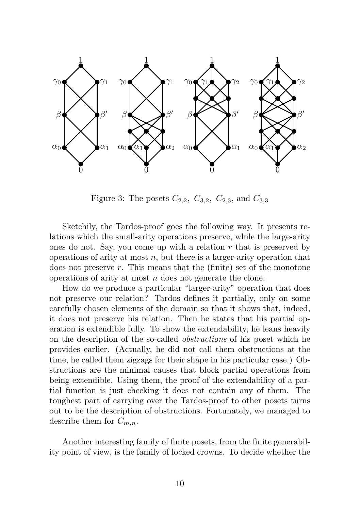

<span id="page-10-0"></span>Figure 3: The posets  $C_{2,2}$ ,  $C_{3,2}$ ,  $C_{2,3}$ , and  $C_{3,3}$ 

Sketchily, the Tardos-proof goes the following way. It presents relations which the small-arity operations preserve, while the large-arity ones do not. Say, you come up with a relation  $r$  that is preserved by operations of arity at most  $n$ , but there is a larger-arity operation that does not preserve  $r$ . This means that the (finite) set of the monotone operations of arity at most n does not generate the clone.

How do we produce a particular "larger-arity" operation that does not preserve our relation? Tardos defines it partially, only on some carefully chosen elements of the domain so that it shows that, indeed, it does not preserve his relation. Then he states that his partial operation is extendible fully. To show the extendability, he leans heavily on the description of the so-called obstructions of his poset which he provides earlier. (Actually, he did not call them obstructions at the time, he called them zigzags for their shape in his particular case.) Obstructions are the minimal causes that block partial operations from being extendible. Using them, the proof of the extendability of a partial function is just checking it does not contain any of them. The toughest part of carrying over the Tardos-proof to other posets turns out to be the description of obstructions. Fortunately, we managed to describe them for  $C_{m,n}$ .

Another interesting family of finite posets, from the finite generability point of view, is the family of locked crowns. To decide whether the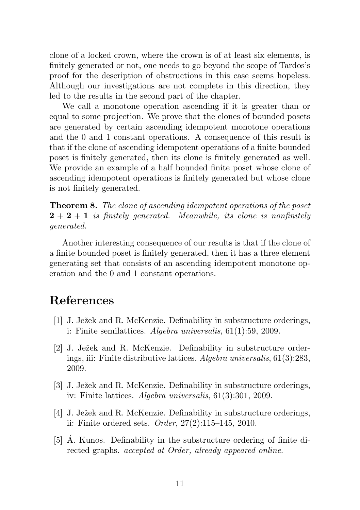clone of a locked crown, where the crown is of at least six elements, is finitely generated or not, one needs to go beyond the scope of Tardos's proof for the description of obstructions in this case seems hopeless. Although our investigations are not complete in this direction, they led to the results in the second part of the chapter.

We call a monotone operation ascending if it is greater than or equal to some projection. We prove that the clones of bounded posets are generated by certain ascending idempotent monotone operations and the 0 and 1 constant operations. A consequence of this result is that if the clone of ascending idempotent operations of a finite bounded poset is finitely generated, then its clone is finitely generated as well. We provide an example of a half bounded finite poset whose clone of ascending idempotent operations is finitely generated but whose clone is not finitely generated.

Theorem 8. The clone of ascending idempotent operations of the poset  $2 + 2 + 1$  is finitely generated. Meanwhile, its clone is nonfinitely generated.

Another interesting consequence of our results is that if the clone of a finite bounded poset is finitely generated, then it has a three element generating set that consists of an ascending idempotent monotone operation and the 0 and 1 constant operations.

## References

- <span id="page-11-1"></span>[1] J. Ježek and R. McKenzie. Definability in substructure orderings, i: Finite semilattices. Algebra universalis, 61(1):59, 2009.
- [2] J. Ježek and R. McKenzie. Definability in substructure orderings, iii: Finite distributive lattices. Algebra universalis, 61(3):283, 2009.
- [3] J. Ježek and R. McKenzie. Definability in substructure orderings, iv: Finite lattices. Algebra universalis, 61(3):301, 2009.
- <span id="page-11-2"></span>[4] J. Ježek and R. McKenzie. Definability in substructure orderings, ii: Finite ordered sets. *Order*,  $27(2):115-145$ ,  $2010$ .
- <span id="page-11-0"></span>[5] A. Kunos. Definability in the substructure ordering of finite directed graphs. accepted at Order, already appeared online.